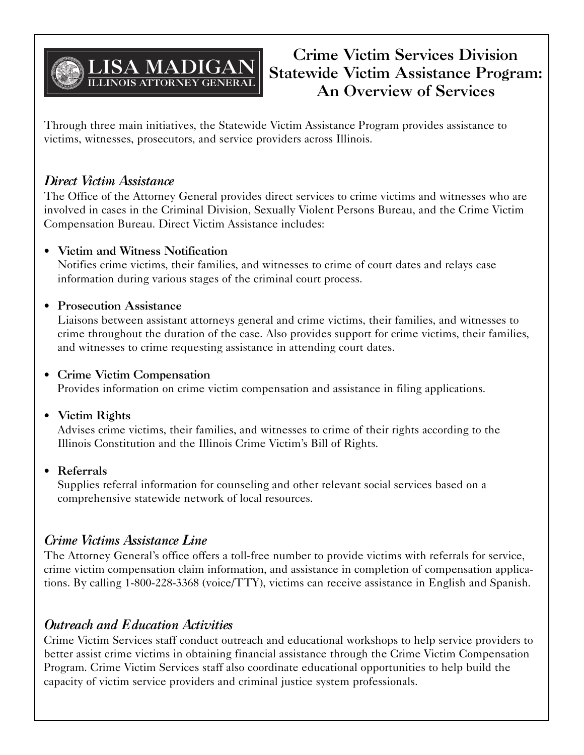

# **Crime Victim Services Division Statewide Victim Assistance Program: An Overview of Services**

Through three main initiatives, the Statewide Victim Assistance Program provides assistance to victims, witnesses, prosecutors, and service providers across Illinois.

## *Direct Victim Assistance*

The Office of the Attorney General provides direct services to crime victims and witnesses who are involved in cases in the Criminal Division, Sexually Violent Persons Bureau, and the Crime Victim Compensation Bureau. Direct Victim Assistance includes:

### • **Victim and Witness Notification**

Notifies crime victims, their families, and witnesses to crime of court dates and relays case information during various stages of the criminal court process.

### • **Prosecution Assistance**

Liaisons between assistant attorneys general and crime victims, their families, and witnesses to crime throughout the duration of the case. Also provides support for crime victims, their families, and witnesses to crime requesting assistance in attending court dates.

#### • **Crime Victim Compensation**

Provides information on crime victim compensation and assistance in filing applications.

### • **Victim Rights**

Advises crime victims, their families, and witnesses to crime of their rights according to the Illinois Constitution and the Illinois Crime Victim's Bill of Rights.

### • **Referrals**

Supplies referral information for counseling and other relevant social services based on a comprehensive statewide network of local resources.

## *Crime Victims Assistance Line*

The Attorney General's office offers a toll-free number to provide victims with referrals for service, crime victim compensation claim information, and assistance in completion of compensation applications. By calling 1-800-228-3368 (voice/TTY), victims can receive assistance in English and Spanish.

## *Outreach and Education Activities*

Crime Victim Services staff conduct outreach and educational workshops to help service providers to better assist crime victims in obtaining financial assistance through the Crime Victim Compensation Program. Crime Victim Services staff also coordinate educational opportunities to help build the capacity of victim service providers and criminal justice system professionals.